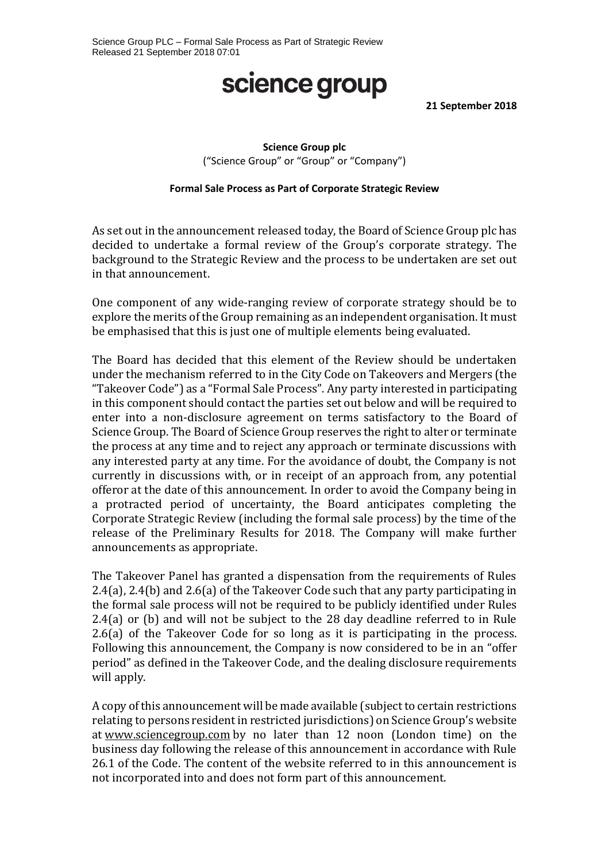### science group

**21 September 2018**

### **Science Group plc** ("Science Group" or "Group" or "Company")

#### **Formal Sale Process as Part of Corporate Strategic Review**

As set out in the announcement released today, the Board of Science Group plc has decided to undertake a formal review of the Group's corporate strategy. The background to the Strategic Review and the process to be undertaken are set out in that announcement.

One component of any wide-ranging review of corporate strategy should be to explore the merits of the Group remaining as an independent organisation. It must be emphasised that this is just one of multiple elements being evaluated.

The Board has decided that this element of the Review should be undertaken under the mechanism referred to in the City Code on Takeovers and Mergers (the "Takeover Code") as a "Formal Sale Process". Any party interested in participating in this component should contact the parties set out below and will be required to enter into a non-disclosure agreement on terms satisfactory to the Board of Science Group. The Board of Science Group reserves the right to alter or terminate the process at any time and to reject any approach or terminate discussions with any interested party at any time. For the avoidance of doubt, the Company is not currently in discussions with, or in receipt of an approach from, any potential offeror at the date of this announcement. In order to avoid the Company being in a protracted period of uncertainty, the Board anticipates completing the Corporate Strategic Review (including the formal sale process) by the time of the release of the Preliminary Results for 2018. The Company will make further announcements as appropriate.

The Takeover Panel has granted a dispensation from the requirements of Rules 2.4(a), 2.4(b) and 2.6(a) of the Takeover Code such that any party participating in the formal sale process will not be required to be publicly identified under Rules 2.4(a) or (b) and will not be subject to the 28 day deadline referred to in Rule 2.6(a) of the Takeover Code for so long as it is participating in the process. Following this announcement, the Company is now considered to be in an "offer period" as defined in the Takeover Code, and the dealing disclosure requirements will apply.

A copy of this announcement will be made available (subject to certain restrictions relating to persons resident in restricted jurisdictions) on Science Group's website at [www.sciencegroup.com](http://www.imaginatik.com/) by no later than 12 noon (London time) on the business day following the release of this announcement in accordance with Rule 26.1 of the Code. The content of the website referred to in this announcement is not incorporated into and does not form part of this announcement.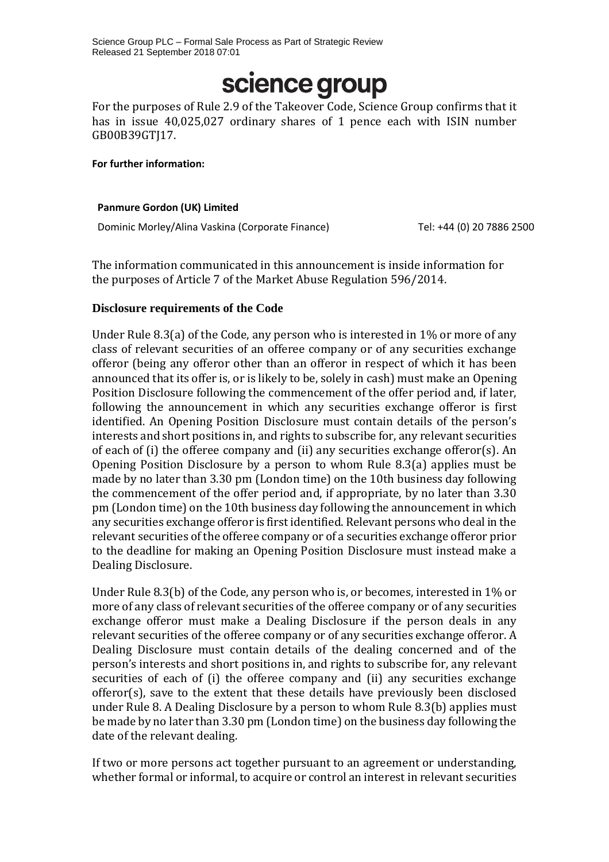# science group

For the purposes of Rule 2.9 of the Takeover Code, Science Group confirms that it has in issue 40,025,027 ordinary shares of 1 pence each with ISIN number GB00B39GTJ17.

#### **For further information:**

#### **Panmure Gordon (UK) Limited**

Dominic Morley/Alina Vaskina (Corporate Finance) Tel: +44 (0) 20 7886 2500

The information communicated in this announcement is inside information for the purposes of Article 7 of the Market Abuse Regulation 596/2014.

#### **Disclosure requirements of the Code**

Under Rule 8.3(a) of the Code, any person who is interested in 1% or more of any class of relevant securities of an offeree company or of any securities exchange offeror (being any offeror other than an offeror in respect of which it has been announced that its offer is, or is likely to be, solely in cash) must make an Opening Position Disclosure following the commencement of the offer period and, if later, following the announcement in which any securities exchange offeror is first identified. An Opening Position Disclosure must contain details of the person's interests and short positions in, and rights to subscribe for, any relevant securities of each of (i) the offeree company and (ii) any securities exchange offeror(s). An Opening Position Disclosure by a person to whom Rule 8.3(a) applies must be made by no later than 3.30 pm (London time) on the 10th business day following the commencement of the offer period and, if appropriate, by no later than 3.30 pm (London time) on the 10th business day following the announcement in which any securities exchange offeror is first identified. Relevant persons who deal in the relevant securities of the offeree company or of a securities exchange offeror prior to the deadline for making an Opening Position Disclosure must instead make a Dealing Disclosure.

Under Rule 8.3(b) of the Code, any person who is, or becomes, interested in 1% or more of any class of relevant securities of the offeree company or of any securities exchange offeror must make a Dealing Disclosure if the person deals in any relevant securities of the offeree company or of any securities exchange offeror. A Dealing Disclosure must contain details of the dealing concerned and of the person's interests and short positions in, and rights to subscribe for, any relevant securities of each of (i) the offeree company and (ii) any securities exchange offeror(s), save to the extent that these details have previously been disclosed under Rule 8. A Dealing Disclosure by a person to whom Rule 8.3(b) applies must be made by no later than 3.30 pm (London time) on the business day following the date of the relevant dealing.

If two or more persons act together pursuant to an agreement or understanding, whether formal or informal, to acquire or control an interest in relevant securities